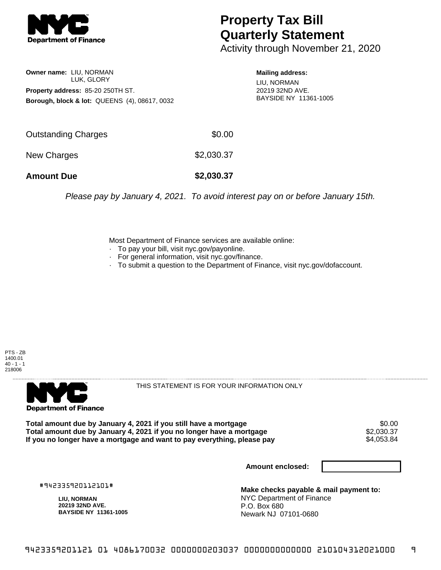

## **Property Tax Bill Quarterly Statement**

Activity through November 21, 2020

## **Owner name:** LIU, NORMAN LUK, GLORY **Property address:** 85-20 250TH ST. **Borough, block & lot:** QUEENS (4), 08617, 0032

**Mailing address:**

LIU, NORMAN 20219 32ND AVE. BAYSIDE NY 11361-1005

| <b>Amount Due</b>   | \$2,030.37 |
|---------------------|------------|
| New Charges         | \$2,030.37 |
| Outstanding Charges | \$0.00     |

Please pay by January 4, 2021. To avoid interest pay on or before January 15th.

Most Department of Finance services are available online:

- · To pay your bill, visit nyc.gov/payonline.
- For general information, visit nyc.gov/finance.
- · To submit a question to the Department of Finance, visit nyc.gov/dofaccount.

PTS - ZB 1400.01  $40 - 1 - 1$ 218006



THIS STATEMENT IS FOR YOUR INFORMATION ONLY

Total amount due by January 4, 2021 if you still have a mortgage \$0.00<br>Total amount due by January 4, 2021 if you no longer have a mortgage \$2.030.37 **Total amount due by January 4, 2021 if you no longer have a mortgage**  $$2,030.37$$ **<br>If you no longer have a mortgage and want to pay everything, please pay**  $$4.053.84$$ If you no longer have a mortgage and want to pay everything, please pay

**Amount enclosed:**

#942335920112101#

**LIU, NORMAN 20219 32ND AVE. BAYSIDE NY 11361-1005**

**Make checks payable & mail payment to:** NYC Department of Finance P.O. Box 680 Newark NJ 07101-0680